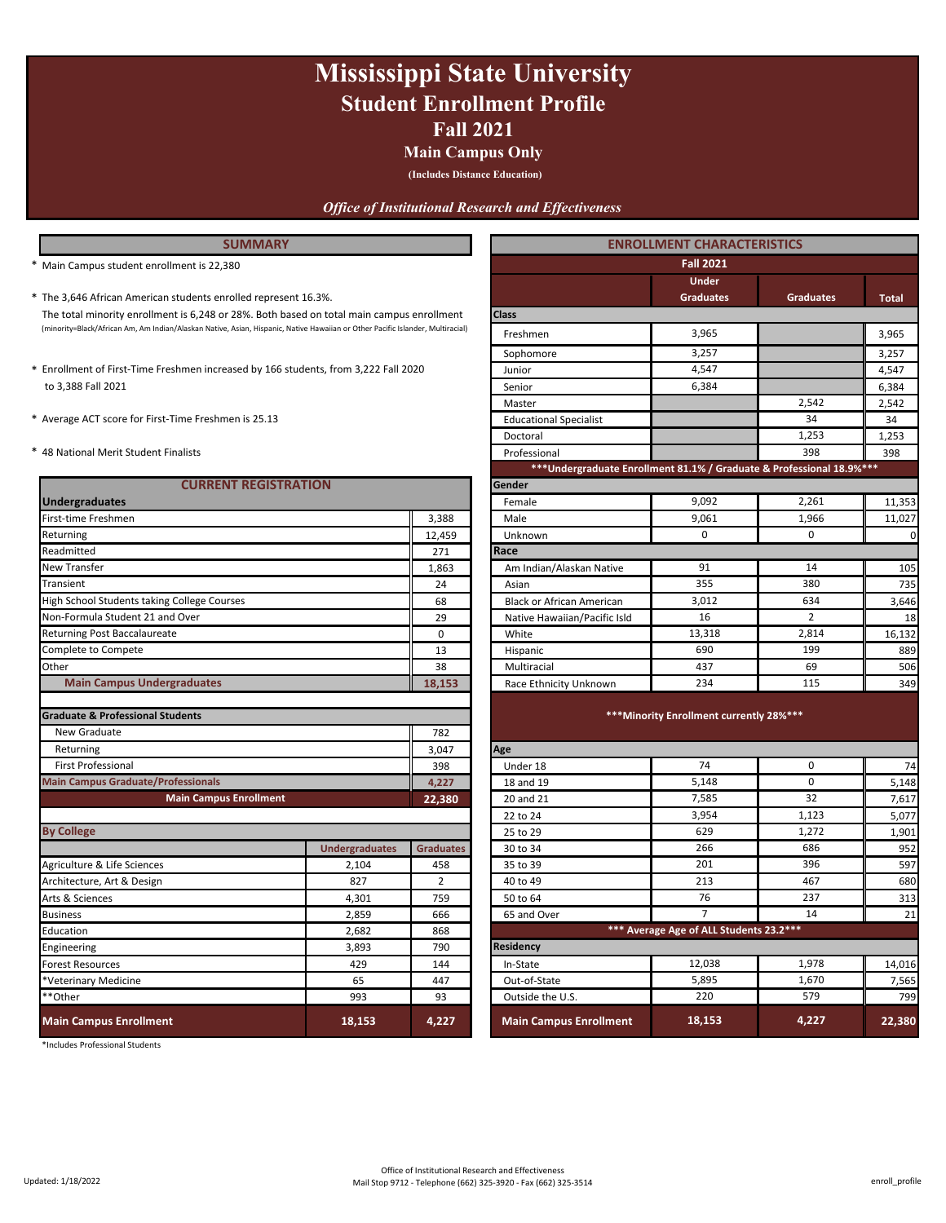### **Fall 2021 Mississippi State University Student Enrollment Profile**

#### **Main Campus Only**

**(Includes Distance Education)**

#### *Office of Institutional Research and Effectiveness*

- \* **Total** The 3,646 African American students enrolled represent 16.3%. **Graduates Graduates** (minority=Black/African Am, Am Indian/Alaskan Native, Asian, Hispanic, Native Hawaiian or Other Pacific Islander, Multiracial) 3,965 The total minority enrollment is 6,248 or 28%. Both based on total main campus enrollment
- to 3,388 Fall 2021
- 
- 

| <b>CURRENT REGISTRATION</b>                 |                       |                  | Gender                           |                                          |             |                 |  |  |
|---------------------------------------------|-----------------------|------------------|----------------------------------|------------------------------------------|-------------|-----------------|--|--|
| <b>Undergraduates</b>                       | Female                | 9.092            | 2,261                            | 11,353                                   |             |                 |  |  |
| First-time Freshmen                         |                       |                  | Male                             | 9,061                                    | 1,966       | 11,027          |  |  |
| Returning                                   |                       | 12,459           | Unknown                          | $\mathbf 0$                              | 0           | $\overline{a}$  |  |  |
| Readmitted                                  |                       | 271              | Race                             |                                          |             |                 |  |  |
| <b>New Transfer</b>                         |                       | 1,863            | Am Indian/Alaskan Native         | 91                                       | 14          | 105             |  |  |
| Transient                                   |                       | 24               | Asian                            | 355                                      | 380         | 735             |  |  |
| High School Students taking College Courses |                       | 68               | <b>Black or African American</b> | 3,012                                    | 634         | 3,646           |  |  |
| Non-Formula Student 21 and Over             |                       | 29               | Native Hawaiian/Pacific Isld     | 16                                       | 2           | 18              |  |  |
| Returning Post Baccalaureate                |                       | 0                | White                            | 13,318                                   | 2,814       | 16,132          |  |  |
| Complete to Compete                         |                       | 13               | Hispanic                         | 690                                      | 199         | 889             |  |  |
| Other                                       |                       | 38               | Multiracial                      | 437                                      | 69          | 506             |  |  |
| <b>Main Campus Undergraduates</b>           |                       | 18,153           | Race Ethnicity Unknown           | 234                                      | 115         | 349             |  |  |
|                                             |                       |                  |                                  |                                          |             |                 |  |  |
| <b>Graduate &amp; Professional Students</b> |                       |                  |                                  | *** Minority Enrollment currently 28%*** |             |                 |  |  |
| New Graduate                                |                       | 782              |                                  |                                          |             |                 |  |  |
| Returning                                   |                       | 3,047            | Age                              |                                          |             |                 |  |  |
| <b>First Professional</b>                   |                       | 398              | Under 18                         | 74                                       | $\mathbf 0$ | 74              |  |  |
| <b>Main Campus Graduate/Professionals</b>   |                       | 4,227            | 18 and 19                        | 5,148                                    | 0           | 5,148           |  |  |
| <b>Main Campus Enrollment</b>               |                       | 22,380           | 20 and 21                        | 7,585                                    | 32          | 7,617           |  |  |
|                                             |                       |                  | 22 to 24                         | 3,954                                    | 1,123       | 5,077           |  |  |
| <b>By College</b>                           |                       |                  | 25 to 29                         | 629                                      | 1,272       | 1,901           |  |  |
|                                             | <b>Undergraduates</b> | <b>Graduates</b> | 30 to 34                         | 266                                      | 686         | 952             |  |  |
| Agriculture & Life Sciences                 | 2,104                 | 458              | 35 to 39                         | 201                                      | 396         | 597             |  |  |
| Architecture, Art & Design                  | 827                   | $\overline{2}$   | 40 to 49                         | 213                                      | 467         | 680             |  |  |
| Arts & Sciences                             | 4,301                 | 759              | 50 to 64                         | 76                                       | 237         | 31 <sup>5</sup> |  |  |
| <b>Business</b>                             | 2,859                 | 666              | 65 and Over                      | $\overline{7}$                           | 14          | 21              |  |  |
| Education                                   | 2,682                 | 868              |                                  | *** Average Age of ALL Students 23.2 *** |             |                 |  |  |
| Engineering                                 | 3,893                 | 790              | <b>Residency</b>                 |                                          |             |                 |  |  |
| Forest Resources                            | 429                   | 144              | In-State                         | 12,038                                   | 1,978       | 14,016          |  |  |
| *Veterinary Medicine                        | 65                    | 447              | Out-of-State                     | 5,895                                    | 1,670       | 7,565           |  |  |
| **Other                                     | 993                   | 93               | Outside the U.S.                 | 220                                      | 579         | 799             |  |  |
| <b>Main Campus Enrollment</b>               | 18,153                | 4,227            | <b>Main Campus Enrollment</b>    | 18,153                                   | 4,227       | 22,380          |  |  |

\*Includes Professional Students

| <b>SUMMARY</b>                                                                                                                 |                             |                  | <b>ENROLLMENT CHARACTERISTICS</b>                                     |                                          |                  |              |  |
|--------------------------------------------------------------------------------------------------------------------------------|-----------------------------|------------------|-----------------------------------------------------------------------|------------------------------------------|------------------|--------------|--|
| Main Campus student enrollment is 22,380                                                                                       |                             |                  |                                                                       | <b>Fall 2021</b>                         |                  |              |  |
| * The 3,646 African American students enrolled represent 16.3%.                                                                |                             |                  |                                                                       | <b>Under</b><br><b>Graduates</b>         | <b>Graduates</b> | <b>Total</b> |  |
| The total minority enrollment is 6,248 or 28%. Both based on total main campus enrollment                                      |                             |                  | <b>Class</b>                                                          |                                          |                  |              |  |
| (minority=Black/African Am, Am Indian/Alaskan Native, Asian, Hispanic, Native Hawaiian or Other Pacific Islander, Multiracial) |                             |                  | Freshmen                                                              | 3,965                                    |                  | 3,965        |  |
|                                                                                                                                |                             |                  | Sophomore                                                             | 3,257                                    |                  | 3,257        |  |
| * Enrollment of First-Time Freshmen increased by 166 students, from 3,222 Fall 2020                                            |                             |                  | Junior                                                                | 4,547                                    |                  | 4,547        |  |
| to 3,388 Fall 2021                                                                                                             |                             |                  | Senior                                                                | 6,384                                    |                  | 6,384        |  |
|                                                                                                                                |                             |                  | Master                                                                |                                          | 2,542            | 2,542        |  |
| * Average ACT score for First-Time Freshmen is 25.13                                                                           |                             |                  | <b>Educational Specialist</b>                                         |                                          | 34               | 34           |  |
|                                                                                                                                |                             |                  | Doctoral                                                              |                                          | 1,253            | 1,253        |  |
| * 48 National Merit Student Finalists                                                                                          |                             |                  | Professional                                                          |                                          | 398              | 398          |  |
|                                                                                                                                |                             |                  | *** Undergraduate Enrollment 81.1% / Graduate & Professional 18.9%*** |                                          |                  |              |  |
|                                                                                                                                | <b>CURRENT REGISTRATION</b> |                  | Gender                                                                |                                          |                  |              |  |
| <b>Undergraduates</b>                                                                                                          |                             |                  | Female                                                                | 9,092                                    | 2,261            | 11,353       |  |
| First-time Freshmen                                                                                                            |                             | 3,388            | Male                                                                  | 9,061                                    | 1,966            | 11,027       |  |
| Returning                                                                                                                      |                             | 12,459           | Unknown                                                               | $\mathbf 0$                              | $\Omega$         | $\mathbf 0$  |  |
| Readmitted                                                                                                                     |                             | 271              | Race                                                                  |                                          |                  |              |  |
| New Transfer                                                                                                                   |                             | 1,863            | Am Indian/Alaskan Native                                              | 91                                       | 14               | 105          |  |
| Transient                                                                                                                      |                             | 24               | Asian                                                                 | 355                                      | 380              | 735          |  |
| High School Students taking College Courses                                                                                    |                             | 68               | <b>Black or African American</b>                                      | 3,012                                    | 634              | 3,646        |  |
| Non-Formula Student 21 and Over                                                                                                |                             | 29               | Native Hawaiian/Pacific Isld                                          | 16                                       | 2                | 18           |  |
| Returning Post Baccalaureate                                                                                                   |                             | $\mathbf 0$      | White                                                                 | 13,318                                   | 2,814            | 16,132       |  |
| Complete to Compete                                                                                                            |                             | 13               | Hispanic                                                              | 690                                      | 199              | 889          |  |
| Other                                                                                                                          |                             | 38               | Multiracial                                                           | 437                                      | 69               | 506          |  |
| <b>Main Campus Undergraduates</b>                                                                                              |                             | 18,153           | Race Ethnicity Unknown                                                | 234                                      | 115              | 349          |  |
| <b>Graduate &amp; Professional Students</b>                                                                                    |                             |                  |                                                                       | *** Minority Enrollment currently 28%*** |                  |              |  |
| New Graduate                                                                                                                   |                             | 782              |                                                                       |                                          |                  |              |  |
| Returning                                                                                                                      |                             | 3,047            | Age                                                                   |                                          |                  |              |  |
| <b>First Professional</b>                                                                                                      |                             | 398              | Under 18                                                              | 74                                       | 0                | 74           |  |
| <b>Main Campus Graduate/Professionals</b>                                                                                      |                             | 4,227            | 18 and 19                                                             | 5,148                                    | $\mathbf 0$      | 5,148        |  |
| <b>Main Campus Enrollment</b>                                                                                                  |                             | 22,380           | 20 and 21                                                             | 7,585                                    | 32               | 7,617        |  |
|                                                                                                                                |                             |                  | 22 to 24                                                              | 3,954                                    | 1,123            | 5,077        |  |
| <b>By College</b>                                                                                                              |                             |                  | 25 to 29                                                              | 629                                      | 1,272            | 1,901        |  |
|                                                                                                                                | <b>Undergraduates</b>       | <b>Graduates</b> | 30 to 34                                                              | 266                                      | 686              | 952          |  |
| Agriculture & Life Sciences                                                                                                    | 2,104                       | 458              | 35 to 39                                                              | 201                                      | 396              | 597          |  |
| Architecture, Art & Design                                                                                                     | 827                         | $\overline{2}$   | 40 to 49                                                              | 213                                      | 467              | 680          |  |
| Arts & Sciences                                                                                                                | 4,301                       | 759              | 50 to 64                                                              | 76                                       | 237              | 313          |  |
| <b>Business</b>                                                                                                                | 2,859                       | 666              | 65 and Over                                                           | $\overline{7}$                           | 14               | 21           |  |
| Education                                                                                                                      | 2,682                       | 868              | *** Average Age of ALL Students 23.2 ***                              |                                          |                  |              |  |
| Engineering                                                                                                                    | 3,893                       | 790              | Residency                                                             |                                          |                  |              |  |
| Forest Resources                                                                                                               | 429                         | 144              | In-State                                                              | 12,038                                   | 1,978            | 14,016       |  |
| *Veterinary Medicine                                                                                                           | 65                          | 447              | Out-of-State                                                          | 5,895                                    | 1,670            | 7,565        |  |
| **Other                                                                                                                        | 993                         | 93               | Outside the U.S.                                                      | 220                                      | 579              | 799          |  |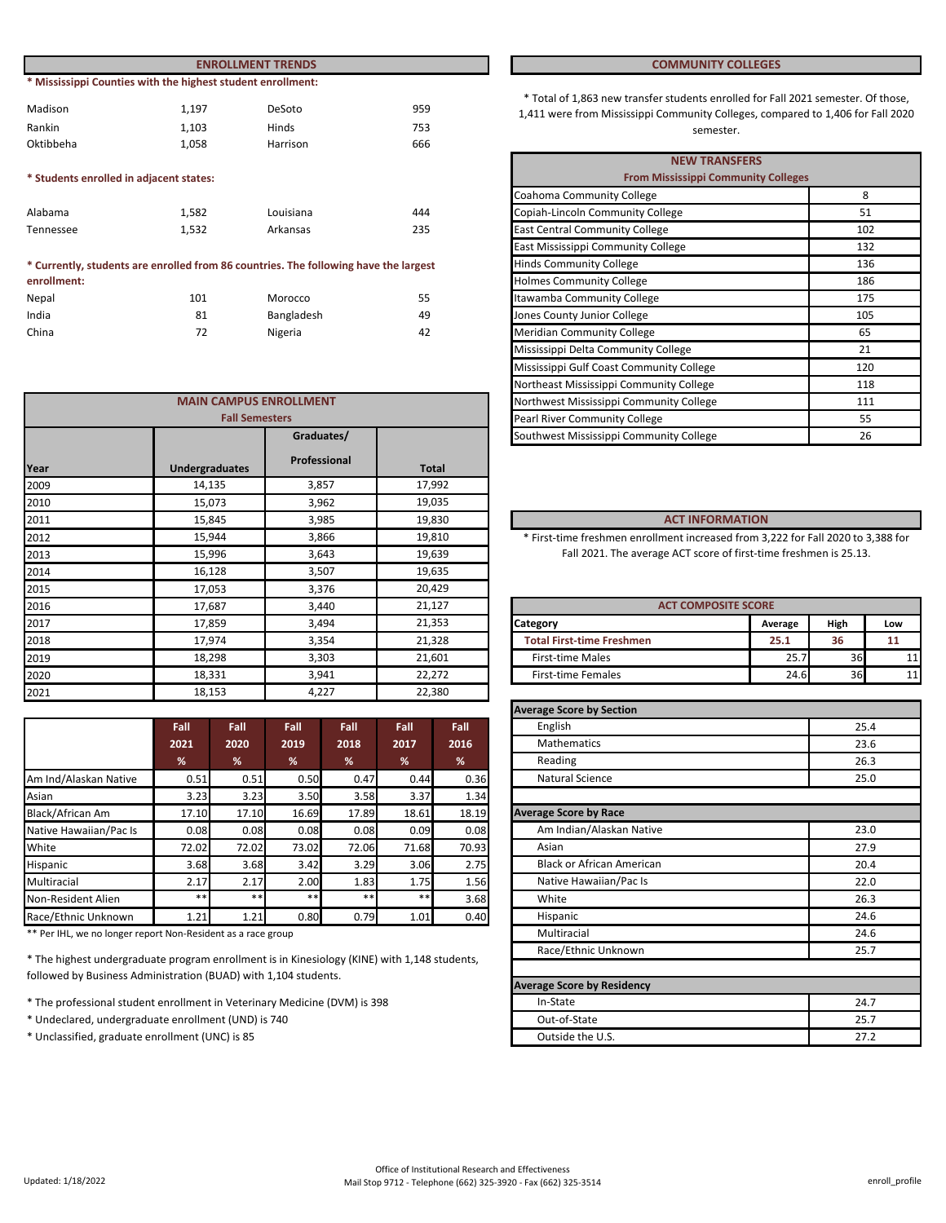|                                         |                                                             | <b>ENROLLMENT TRENDS</b> | <b>COMMUNITY COLLEGES</b> |                                                                                                                          |
|-----------------------------------------|-------------------------------------------------------------|--------------------------|---------------------------|--------------------------------------------------------------------------------------------------------------------------|
|                                         | * Mississippi Counties with the highest student enrollment: |                          |                           |                                                                                                                          |
| Madison                                 | 1.197                                                       | DeSoto                   | 959                       | * Total of 1,863 new transfer students enrolled for Fall 202<br>1,411 were from Mississippi Community Colleges, compared |
| Rankin                                  | 1.103                                                       | Hinds                    | 753                       | semester.                                                                                                                |
| Oktibbeha                               | 1.058                                                       | Harrison                 | 666                       |                                                                                                                          |
|                                         |                                                             |                          |                           | <b>NEW TRANSFERS</b>                                                                                                     |
| * Students enrolled in adjacent states: |                                                             |                          |                           | <b>From Mississippi Community Colleges</b>                                                                               |
|                                         |                                                             |                          |                           | Coahoma Community College                                                                                                |
|                                         |                                                             |                          |                           |                                                                                                                          |

| Alabama   | 1.582 | Louisiana | 444 |
|-----------|-------|-----------|-----|
| Tennessee | 1.532 | Arkansas  | 235 |

#### Nepal 55 India 1992 - Rangladesh 1993 - Bangladesh 1994 - Analysis ang ka-2014 - Analysis ang ka-2014 - Analysis ang ka-Morocco **\* Currently, students are enrolled from 86 countries. The following have the largest enrollment:**

China 72 Nigeria 42

|      |                               |              |                                         | <b>TWO LITERS CIVILISSISSIPPI</b> COMMUNITY CONCRET                              |                            | <b>110</b> |     |
|------|-------------------------------|--------------|-----------------------------------------|----------------------------------------------------------------------------------|----------------------------|------------|-----|
|      | <b>MAIN CAMPUS ENROLLMENT</b> |              | Northwest Mississippi Community College |                                                                                  | 111                        |            |     |
|      | <b>Fall Semesters</b>         |              | Pearl River Community College           |                                                                                  |                            | 55         |     |
|      |                               | Graduates/   |                                         | Southwest Mississippi Community College                                          |                            | 26         |     |
| Year | <b>Undergraduates</b>         | Professional | <b>Total</b>                            |                                                                                  |                            |            |     |
| 2009 | 14,135                        | 3,857        | 17,992                                  |                                                                                  |                            |            |     |
| 2010 | 15,073                        | 3,962        | 19,035                                  |                                                                                  |                            |            |     |
| 2011 | 15,845                        | 3,985        | 19,830                                  | <b>ACT INFORMATION</b>                                                           |                            |            |     |
| 2012 | 15,944                        | 3,866        | 19,810                                  | * First-time freshmen enrollment increased from 3,222 for Fall 2020 to 3,388 for |                            |            |     |
| 2013 | 15,996                        | 3,643        | 19,639                                  | Fall 2021. The average ACT score of first-time freshmen is 25.13.                |                            |            |     |
| 2014 | 16,128                        | 3,507        | 19,635                                  |                                                                                  |                            |            |     |
| 2015 | 17,053                        | 3,376        | 20,429                                  |                                                                                  |                            |            |     |
| 2016 | 17,687                        | 3,440        | 21,127                                  |                                                                                  | <b>ACT COMPOSITE SCORE</b> |            |     |
| 2017 | 17,859                        | 3,494        | 21,353                                  | Category                                                                         | Average                    | High       | Low |
| 2018 | 17,974                        | 3,354        | 21,328                                  | <b>Total First-time Freshmen</b>                                                 | 25.1                       | 36         | 11  |
| 2019 | 18,298                        | 3,303        | 21,601                                  | <b>First-time Males</b>                                                          | 25.7                       | 36         | 11  |
| 2020 | 18,331                        | 3,941        | 22,272                                  | <b>First-time Females</b>                                                        | 24.6                       | 36         | 11  |
| 2021 | 18,153                        | 4,227        | 22,380                                  |                                                                                  |                            |            |     |
|      |                               |              |                                         |                                                                                  |                            |            |     |

|                        | Fall  | Fall  | Fall  | Fall  | Fall  | Fall  |
|------------------------|-------|-------|-------|-------|-------|-------|
|                        | 2021  | 2020  | 2019  | 2018  | 2017  | 2016  |
|                        | %     | %     | %     | %     | %     | %     |
| Am Ind/Alaskan Native  | 0.51  | 0.51  | 0.50  | 0.47  | 0.44  | 0.36  |
| Asian                  | 3.23  | 3.23  | 3.50  | 3.58  | 3.37  | 1.34  |
| Black/African Am       | 17.10 | 17.10 | 16.69 | 17.89 | 18.61 | 18.19 |
| Native Hawaiian/Pac Is | 0.08  | 0.08  | 0.08  | 0.08  | 0.09  | 0.08  |
| White                  | 72.02 | 72.02 | 73.02 | 72.06 | 71.68 | 70.93 |
| Hispanic               | 3.68  | 3.68  | 3.42  | 3.29  | 3.06  | 2.75  |
| Multiracial            | 2.17  | 2.17  | 2.00  | 1.83  | 1.75  | 1.56  |
| Non-Resident Alien     | $***$ | $* *$ | $***$ | $***$ | $***$ | 3.68  |
| Race/Ethnic Unknown    | 1.21  | 1.21  | 0.80  | 0.79  | 1.01  | 0.40  |

\*\* Per IHL, we no longer report Non-Resident as a race group

\* The highest undergraduate program enrollment is in Kinesiology (KINE) with 1,148 students, followed by Business Administration (BUAD) with 1,104 students.

- \* The professional student enrollment in Veterinary Medicine (DVM) is 398
- \* Undeclared, undergraduate enrollment (UND) is 740
- \* Unclassified, graduate enrollment (UNC) is 85

#### **COMMUNITY COLLEGES**

\* Total of 1,863 new transfer students enrolled for Fall 2021 semester. Of those, 1,411 were from Mississippi Community Colleges, compared to 1,406 for Fall 2020 Hinds 5. The semester of the semester. The semester of the semester of the semester.

|                       |                                              |     | <b>NEW TRANSFERS</b>                       |     |
|-----------------------|----------------------------------------------|-----|--------------------------------------------|-----|
|                       |                                              |     | <b>From Mississippi Community Colleges</b> |     |
|                       |                                              |     | Coahoma Community College                  | 8   |
|                       | Louisiana                                    | 444 | Copiah-Lincoln Community College           | 51  |
|                       | Arkansas                                     | 235 | <b>East Central Community College</b>      | 102 |
|                       |                                              |     | East Mississippi Community College         | 132 |
|                       | 86 countries. The following have the largest |     | <b>Hinds Community College</b>             | 136 |
|                       |                                              |     | <b>Holmes Community College</b>            | 186 |
|                       | Morocco                                      | 55  | Itawamba Community College                 | 175 |
|                       | Bangladesh                                   | 49  | Jones County Junior College                | 105 |
|                       | Nigeria                                      | 42  | <b>Meridian Community College</b>          | 65  |
|                       |                                              |     | Mississippi Delta Community College        | 21  |
|                       |                                              |     | Mississippi Gulf Coast Community College   | 120 |
|                       |                                              |     | Northeast Mississippi Community College    | 118 |
|                       | <b>AMPUS ENROLLMENT</b>                      |     | Northwest Mississippi Community College    | 111 |
| <b>Fall Semesters</b> |                                              |     | Pearl River Community College              | 55  |
|                       | Graduates/                                   |     | Southwest Mississippi Community College    | 26  |

#### **ACT INFORMATION**

| <b>ACT COMPOSITE SCORE</b>       |         |      |     |  |  |  |  |
|----------------------------------|---------|------|-----|--|--|--|--|
| Category                         | Average | High | Low |  |  |  |  |
| <b>Total First-time Freshmen</b> | 25.1    | 36   |     |  |  |  |  |
| <b>First-time Males</b>          | 25.7    | 36   |     |  |  |  |  |
| <b>First-time Females</b>        | 24.6    | 36   |     |  |  |  |  |

| <b>Average Score by Section</b>   |      |
|-----------------------------------|------|
| English                           | 25.4 |
| <b>Mathematics</b>                | 23.6 |
| Reading                           | 26.3 |
| <b>Natural Science</b>            | 25.0 |
|                                   |      |
| <b>Average Score by Race</b>      |      |
| Am Indian/Alaskan Native          | 23.0 |
| Asian                             | 27.9 |
| <b>Black or African American</b>  | 20.4 |
| Native Hawaiian/Pac Is            | 22.0 |
| White                             | 26.3 |
| Hispanic                          | 24.6 |
| Multiracial                       | 24.6 |
| Race/Ethnic Unknown               | 25.7 |
|                                   |      |
| <b>Average Score by Residency</b> |      |
| In-State                          | 24.7 |
| Out-of-State                      | 25.7 |
| Outside the U.S.                  | 27.2 |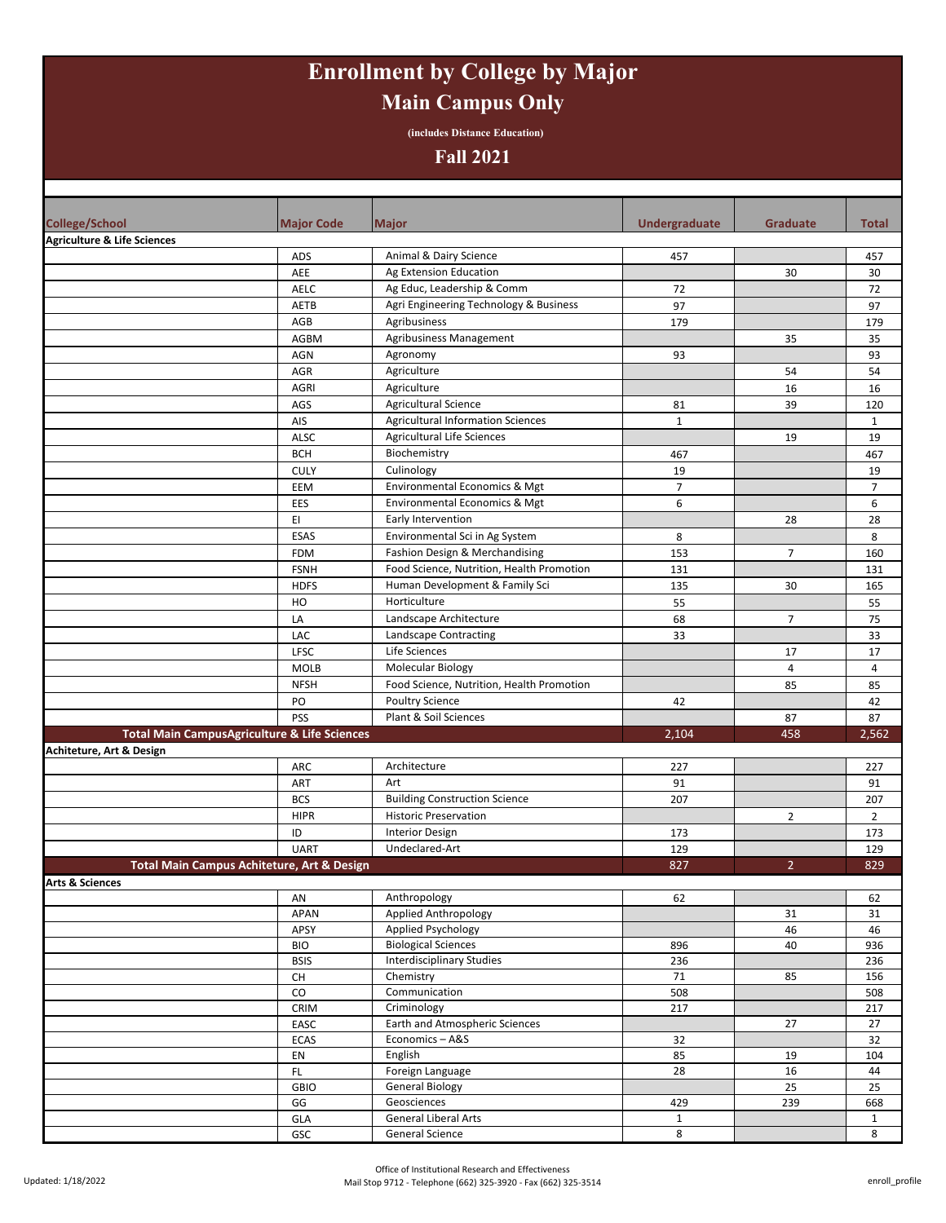# **Enrollment by College by Major Main Campus Only**

**(includes Distance Education)**

#### **Fall 2021**

| <b>College/School</b>                  | <b>Major Code</b>                                       | <b>Major</b>                              | Undergraduate  | <b>Graduate</b> | <b>Total</b>   |
|----------------------------------------|---------------------------------------------------------|-------------------------------------------|----------------|-----------------|----------------|
| <b>Agriculture &amp; Life Sciences</b> |                                                         |                                           |                |                 |                |
|                                        | ADS                                                     | Animal & Dairy Science                    | 457            |                 | 457            |
|                                        | AEE                                                     | Ag Extension Education                    |                | 30              | 30             |
|                                        | <b>AELC</b>                                             | Ag Educ, Leadership & Comm                | 72             |                 | 72             |
|                                        | AETB                                                    | Agri Engineering Technology & Business    | 97             |                 | 97             |
|                                        | AGB                                                     | Agribusiness                              | 179            |                 | 179            |
|                                        | <b>AGBM</b>                                             | Agribusiness Management                   |                | 35              | 35             |
|                                        | <b>AGN</b>                                              | Agronomy                                  | 93             |                 | 93             |
|                                        | AGR                                                     | Agriculture                               |                | 54              | 54             |
|                                        | <b>AGRI</b>                                             | Agriculture                               |                | 16              | 16             |
|                                        | AGS                                                     | <b>Agricultural Science</b>               | 81             | 39              | 120            |
|                                        | AIS                                                     | <b>Agricultural Information Sciences</b>  | $\mathbf{1}$   |                 | $\mathbf{1}$   |
|                                        | ALSC                                                    | Agricultural Life Sciences                |                | 19              | 19             |
|                                        | <b>BCH</b>                                              | Biochemistry                              | 467            |                 | 467            |
|                                        | <b>CULY</b>                                             | Culinology                                | 19             |                 | 19             |
|                                        | EEM                                                     | Environmental Economics & Mgt             | $\overline{7}$ |                 | $\overline{7}$ |
|                                        | EES                                                     | Environmental Economics & Mgt             | 6              |                 | 6              |
|                                        | EI                                                      | Early Intervention                        |                | 28              | 28             |
|                                        | ESAS                                                    | Environmental Sci in Ag System            | 8              |                 | 8              |
|                                        | <b>FDM</b>                                              | Fashion Design & Merchandising            | 153            | $\overline{7}$  | 160            |
|                                        | <b>FSNH</b>                                             | Food Science, Nutrition, Health Promotion | 131            |                 | 131            |
|                                        | <b>HDFS</b>                                             | Human Development & Family Sci            | 135            | 30              | 165            |
|                                        | HO                                                      | Horticulture                              | 55             |                 | 55             |
|                                        | LA                                                      | Landscape Architecture                    | 68             | $\overline{7}$  | 75             |
|                                        | LAC                                                     | Landscape Contracting                     | 33             |                 | 33             |
|                                        | LFSC<br><b>MOLB</b>                                     | Life Sciences<br><b>Molecular Biology</b> |                | 17              | 17             |
|                                        |                                                         | Food Science, Nutrition, Health Promotion |                | $\overline{4}$  | 4              |
|                                        | <b>NFSH</b><br>PO                                       | <b>Poultry Science</b>                    |                | 85              | 85             |
|                                        | PSS                                                     | Plant & Soil Sciences                     | 42             | 87              | 42<br>87       |
|                                        | <b>Total Main CampusAgriculture &amp; Life Sciences</b> |                                           | 2,104          | 458             | 2,562          |
| Achiteture, Art & Design               |                                                         |                                           |                |                 |                |
|                                        | ARC                                                     | Architecture                              | 227            |                 | 227            |
|                                        | ART                                                     | Art                                       | 91             |                 | 91             |
|                                        | <b>BCS</b>                                              | <b>Building Construction Science</b>      | 207            |                 | 207            |
|                                        | <b>HIPR</b>                                             | <b>Historic Preservation</b>              |                | $\overline{2}$  | $\overline{2}$ |
|                                        | ID                                                      | <b>Interior Design</b>                    | 173            |                 | 173            |
|                                        | <b>UART</b>                                             | Undeclared-Art                            | 129            |                 | 129            |
|                                        | Total Main Campus Achiteture, Art & Design              |                                           | 827            | $\overline{2}$  | 829            |
| <b>Arts &amp; Sciences</b>             |                                                         |                                           |                |                 |                |
|                                        | AN                                                      | Anthropology                              | 62             |                 | 62             |
|                                        | APAN                                                    | Applied Anthropology                      |                | 31              | 31             |
|                                        | APSY                                                    | Applied Psychology                        |                | 46              | 46             |
|                                        | <b>BIO</b>                                              | <b>Biological Sciences</b>                | 896            | 40              | 936            |
|                                        | <b>BSIS</b>                                             | <b>Interdisciplinary Studies</b>          | 236            |                 | 236            |
|                                        | $\mathsf{CH}% \left( \mathcal{M}\right)$                | Chemistry                                 | 71             | 85              | 156            |
|                                        | ${\rm CO}$                                              | Communication                             | 508            |                 | 508            |
|                                        | CRIM                                                    | Criminology                               | 217            |                 | 217            |
|                                        | EASC                                                    | Earth and Atmospheric Sciences            |                | 27              | 27             |
|                                        | ECAS<br>EN                                              | Economics-A&S<br>English                  | 32<br>85       |                 | 32             |
|                                        | <b>FL</b>                                               | Foreign Language                          | 28             | 19<br>16        | 104<br>44      |
|                                        | <b>GBIO</b>                                             | <b>General Biology</b>                    |                | 25              | 25             |
|                                        | GG                                                      | Geosciences                               | 429            | 239             | 668            |
|                                        | GLA                                                     | <b>General Liberal Arts</b>               | $\mathbf{1}$   |                 | $\mathbf{1}$   |
|                                        | GSC                                                     | General Science                           | 8              |                 | 8              |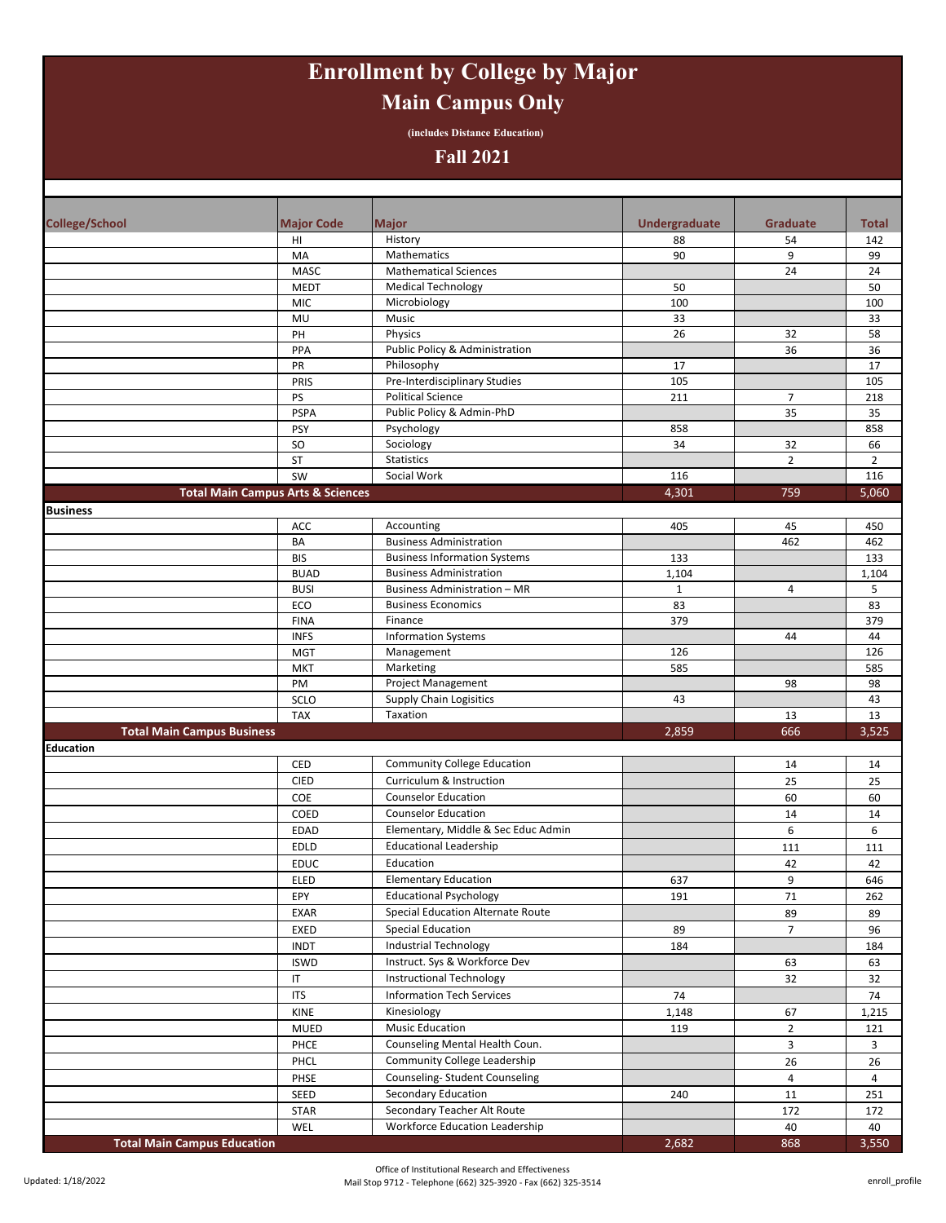# **Enrollment by College by Major Main Campus Only**

**(includes Distance Education)**

#### **Fall 2021**

| <b>College/School</b>             | <b>Major Code</b>                            | <b>Major</b>                                                  | Undergraduate | <b>Graduate</b>      | <b>Total</b>   |
|-----------------------------------|----------------------------------------------|---------------------------------------------------------------|---------------|----------------------|----------------|
|                                   | HI                                           | History                                                       | 88            | 54                   | 142            |
|                                   | MA                                           | Mathematics                                                   | 90            | 9                    | 99             |
|                                   | <b>MASC</b>                                  | <b>Mathematical Sciences</b>                                  |               | 24                   | 24             |
|                                   | <b>MEDT</b>                                  | <b>Medical Technology</b>                                     | 50            |                      | 50             |
|                                   | <b>MIC</b>                                   | Microbiology                                                  | 100           |                      | 100            |
|                                   | MU                                           | Music                                                         | 33            |                      | 33             |
|                                   | PH                                           | Physics                                                       | 26            | 32                   | 58             |
|                                   | PPA                                          | Public Policy & Administration                                |               | 36                   | 36             |
|                                   | PR                                           | Philosophy                                                    | 17            |                      | 17             |
|                                   | PRIS                                         | Pre-Interdisciplinary Studies<br><b>Political Science</b>     | 105           |                      | 105            |
|                                   | PS<br><b>PSPA</b>                            | Public Policy & Admin-PhD                                     | 211           | $\overline{7}$<br>35 | 218<br>35      |
|                                   | PSY                                          | Psychology                                                    | 858           |                      | 858            |
|                                   | <b>SO</b>                                    | Sociology                                                     | 34            | 32                   | 66             |
|                                   | <b>ST</b>                                    | Statistics                                                    |               | $\overline{2}$       | $\overline{2}$ |
|                                   | SW                                           | Social Work                                                   | 116           |                      | 116            |
|                                   | <b>Total Main Campus Arts &amp; Sciences</b> |                                                               | 4,301         | 759                  | 5,060          |
| <b>Business</b>                   |                                              |                                                               |               |                      |                |
|                                   | ACC                                          | Accounting                                                    | 405           | 45                   | 450            |
|                                   | BA                                           | <b>Business Administration</b>                                |               | 462                  | 462            |
|                                   | <b>BIS</b>                                   | <b>Business Information Systems</b>                           | 133           |                      | 133            |
|                                   | <b>BUAD</b>                                  | <b>Business Administration</b>                                | 1,104         |                      | 1,104          |
|                                   | <b>BUSI</b>                                  | <b>Business Administration - MR</b>                           | $\mathbf{1}$  | 4                    | 5              |
|                                   | ECO                                          | <b>Business Economics</b>                                     | 83            |                      | 83             |
|                                   | <b>FINA</b>                                  | Finance                                                       | 379           |                      | 379            |
|                                   | <b>INFS</b>                                  | <b>Information Systems</b>                                    |               | 44                   | 44             |
|                                   | <b>MGT</b>                                   | Management                                                    | 126           |                      | 126            |
|                                   | <b>MKT</b>                                   | Marketing                                                     | 585           |                      | 585            |
|                                   | PM                                           | <b>Project Management</b>                                     |               | 98                   | 98             |
|                                   | SCLO                                         | Supply Chain Logisitics                                       | 43            |                      | 43             |
|                                   |                                              |                                                               |               |                      |                |
|                                   | <b>TAX</b>                                   | Taxation                                                      |               | 13                   | 13             |
| <b>Total Main Campus Business</b> |                                              |                                                               | 2,859         | 666                  | 3,525          |
| <b>Education</b>                  |                                              |                                                               |               |                      |                |
|                                   | <b>CED</b>                                   | <b>Community College Education</b>                            |               | 14                   | 14             |
|                                   | <b>CIED</b>                                  | Curriculum & Instruction                                      |               | 25                   | 25             |
|                                   | COE                                          | <b>Counselor Education</b>                                    |               | 60                   | 60             |
|                                   | COED                                         | <b>Counselor Education</b>                                    |               | 14                   | 14             |
|                                   | <b>EDAD</b>                                  | Elementary, Middle & Sec Educ Admin                           |               | 6                    | 6              |
|                                   | EDLD                                         | <b>Educational Leadership</b>                                 |               | 111                  | 111            |
|                                   | <b>EDUC</b>                                  | Education                                                     |               | 42                   | 42             |
|                                   | <b>ELED</b>                                  | <b>Elementary Education</b>                                   | 637           | 9                    | 646            |
|                                   | EPY                                          | <b>Educational Psychology</b>                                 | 191           | 71                   | 262            |
|                                   | EXAR                                         | <b>Special Education Alternate Route</b>                      |               | 89                   | 89             |
|                                   | EXED                                         | <b>Special Education</b>                                      | 89            | $\overline{7}$       | 96             |
|                                   | <b>INDT</b>                                  | <b>Industrial Technology</b>                                  | 184           |                      | 184            |
|                                   | <b>ISWD</b>                                  | Instruct. Sys & Workforce Dev                                 |               | 63                   | 63             |
|                                   | IT                                           | <b>Instructional Technology</b>                               |               | 32                   | 32             |
|                                   | <b>ITS</b>                                   | <b>Information Tech Services</b>                              | 74            |                      | 74             |
|                                   | KINE                                         | Kinesiology                                                   | 1,148         | 67                   | 1,215          |
|                                   | MUED                                         | <b>Music Education</b>                                        | 119           | $\overline{2}$       | 121            |
|                                   | PHCE                                         | Counseling Mental Health Coun.                                |               | 3                    | 3              |
|                                   | PHCL                                         | Community College Leadership                                  |               | 26                   | 26             |
|                                   | PHSE                                         | Counseling-Student Counseling                                 |               | $\overline{4}$       | 4              |
|                                   | SEED                                         | Secondary Education                                           | 240           | 11                   | 251            |
|                                   | STAR<br>WEL                                  | Secondary Teacher Alt Route<br>Workforce Education Leadership |               | 172<br>40            | 172<br>40      |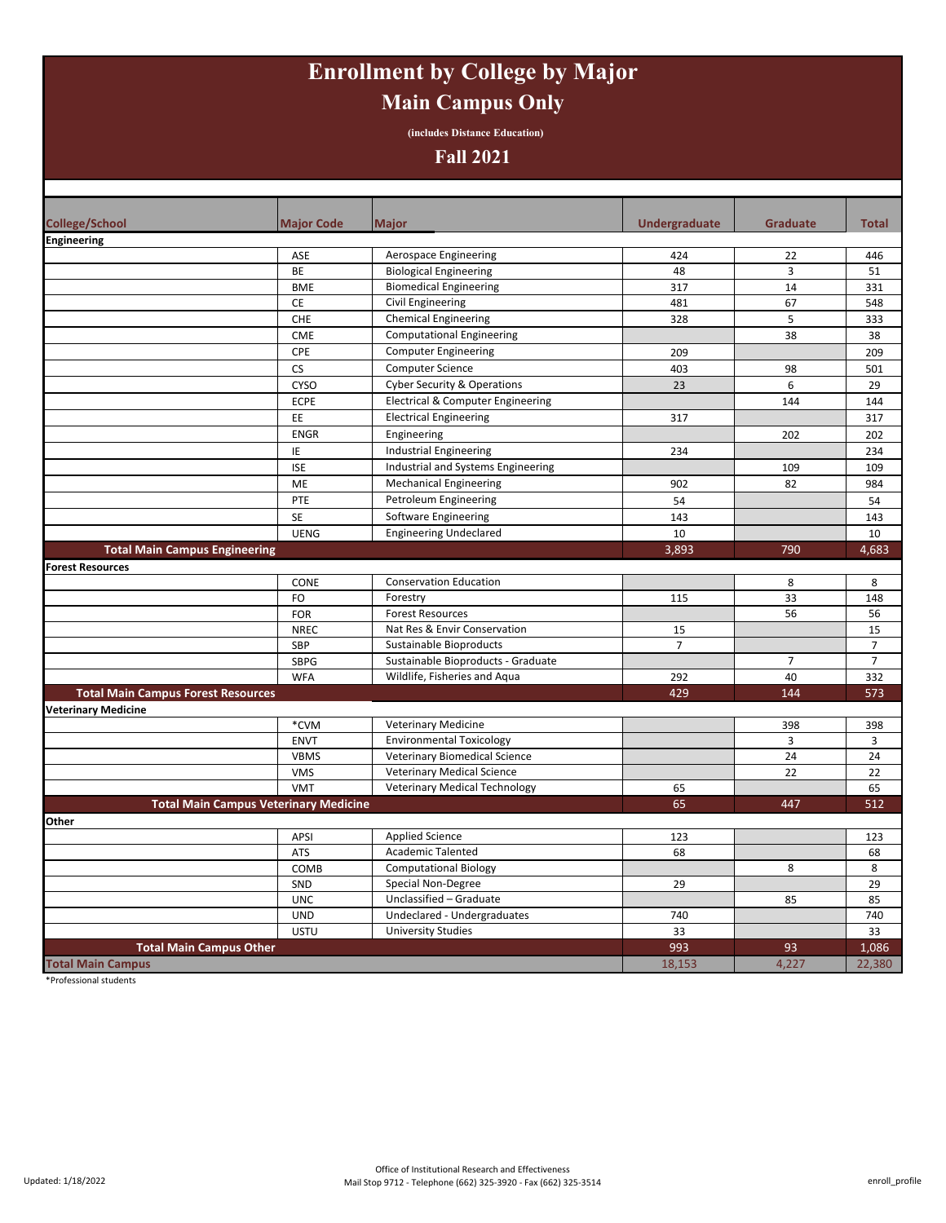# **Enrollment by College by Major Main Campus Only**

**(includes Distance Education)**

#### **Fall 2021**

| <b>College/School</b>                     | <b>Major Code</b>                            | <b>Major</b>                           | Undergraduate  | <b>Graduate</b> | <b>Total</b>   |
|-------------------------------------------|----------------------------------------------|----------------------------------------|----------------|-----------------|----------------|
| <b>Engineering</b>                        |                                              |                                        |                |                 |                |
|                                           | ASE                                          | Aerospace Engineering                  | 424            | 22              | 446            |
|                                           | <b>BE</b>                                    | <b>Biological Engineering</b>          | 48             | $\overline{3}$  | 51             |
|                                           | <b>BME</b>                                   | <b>Biomedical Engineering</b>          | 317            | 14              | 331            |
|                                           | CE                                           | Civil Engineering                      | 481            | 67              | 548            |
|                                           | CHE                                          | <b>Chemical Engineering</b>            | 328            | 5               | 333            |
|                                           | <b>CME</b>                                   | <b>Computational Engineering</b>       |                | 38              | 38             |
|                                           | CPE                                          | <b>Computer Engineering</b>            | 209            |                 | 209            |
|                                           | <b>CS</b>                                    | <b>Computer Science</b>                | 403            | 98              | 501            |
|                                           | <b>CYSO</b>                                  | <b>Cyber Security &amp; Operations</b> | 23             | 6               | 29             |
|                                           | <b>ECPE</b>                                  | Electrical & Computer Engineering      |                | 144             | 144            |
|                                           | EE                                           | <b>Electrical Engineering</b>          | 317            |                 | 317            |
|                                           | <b>ENGR</b>                                  | Engineering                            |                | 202             | 202            |
|                                           | ΙE                                           | Industrial Engineering                 | 234            |                 | 234            |
|                                           | <b>ISE</b>                                   | Industrial and Systems Engineering     |                | 109             | 109            |
|                                           | ME                                           | <b>Mechanical Engineering</b>          | 902            | 82              | 984            |
|                                           | PTE                                          | Petroleum Engineering                  | 54             |                 | 54             |
|                                           | <b>SE</b>                                    | Software Engineering                   | 143            |                 | 143            |
|                                           | <b>UENG</b>                                  | <b>Engineering Undeclared</b>          | 10             |                 | 10             |
| <b>Total Main Campus Engineering</b>      |                                              |                                        | 3,893          | 790             | 4,683          |
| <b>Forest Resources</b>                   |                                              |                                        |                |                 |                |
|                                           | CONE                                         | <b>Conservation Education</b>          |                | 8               | 8              |
|                                           | FO                                           | Forestry                               | 115            | 33              | 148            |
|                                           | FOR                                          | <b>Forest Resources</b>                |                | 56              | 56             |
|                                           | <b>NREC</b>                                  | Nat Res & Envir Conservation           | 15             |                 | 15             |
|                                           | SBP                                          | Sustainable Bioproducts                | $\overline{7}$ |                 | $\overline{7}$ |
|                                           | SBPG                                         | Sustainable Bioproducts - Graduate     |                | $\overline{7}$  | $\overline{7}$ |
|                                           | <b>WFA</b>                                   | Wildlife, Fisheries and Aqua           | 292            | 40              | 332            |
| <b>Total Main Campus Forest Resources</b> |                                              |                                        | 429            | 144             | 573            |
| <b>Veterinary Medicine</b>                |                                              |                                        |                |                 |                |
|                                           | *CVM                                         | <b>Veterinary Medicine</b>             |                | 398             | 398            |
|                                           | <b>ENVT</b>                                  | <b>Environmental Toxicology</b>        |                | 3               | 3              |
|                                           | <b>VBMS</b>                                  | Veterinary Biomedical Science          |                | 24              | 24             |
|                                           | <b>VMS</b>                                   | <b>Veterinary Medical Science</b>      |                | 22              | 22             |
|                                           | <b>VMT</b>                                   | <b>Veterinary Medical Technology</b>   | 65             |                 | 65             |
|                                           | <b>Total Main Campus Veterinary Medicine</b> |                                        | 65             | 447             | 512            |
| Other                                     |                                              |                                        |                |                 |                |
|                                           | APSI                                         | <b>Applied Science</b>                 | 123            |                 | 123            |
|                                           | ATS                                          | <b>Academic Talented</b>               | 68             |                 | 68             |
|                                           | COMB                                         | <b>Computational Biology</b>           |                | 8               | 8              |
|                                           | SND                                          | Special Non-Degree                     | 29             |                 | 29             |
|                                           | <b>UNC</b>                                   | Unclassified - Graduate                |                | 85              | 85             |
|                                           | <b>UND</b>                                   | Undeclared - Undergraduates            | 740            |                 | 740            |
|                                           | <b>USTU</b>                                  | <b>University Studies</b>              | 33             |                 | 33             |
| <b>Total Main Campus Other</b>            |                                              |                                        | 993            | 93              | 1,086          |
| <b>Total Main Campus</b>                  |                                              |                                        | 18,153         | 4,227           | 22,380         |

\*Professional students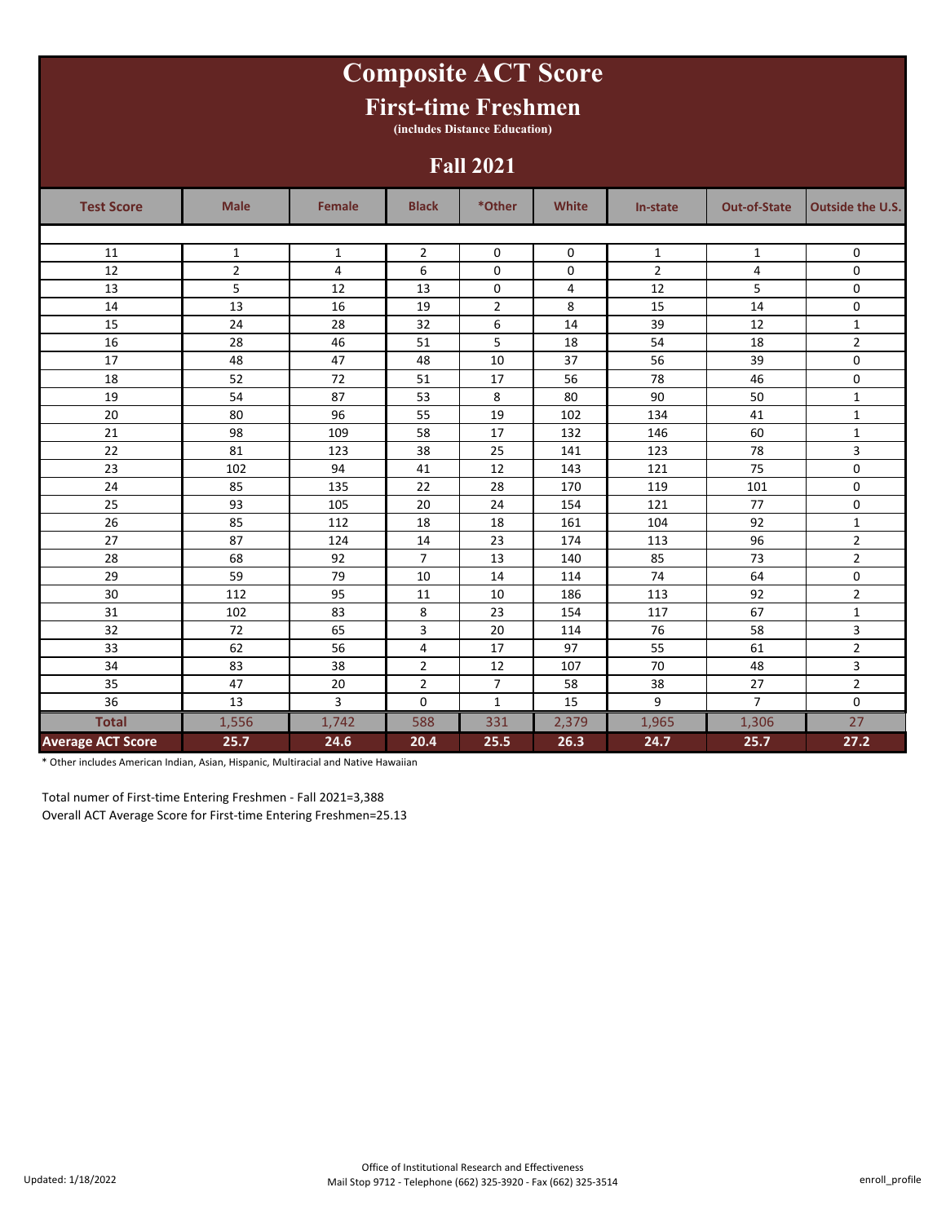# **Composite ACT Score**

### **First-time Freshmen**

**(includes Distance Education)**

#### **Fall 2021**

| <b>Test Score</b>        | <b>Male</b>    | <b>Female</b> | <b>Black</b>   | *Other         | <b>White</b> | In-state       | <b>Out-of-State</b> | <b>Outside the U.S.</b> |
|--------------------------|----------------|---------------|----------------|----------------|--------------|----------------|---------------------|-------------------------|
|                          |                |               |                |                |              |                |                     |                         |
| 11                       | $\mathbf{1}$   | $\mathbf{1}$  | $\overline{2}$ | $\Omega$       | 0            | $\mathbf{1}$   | $\mathbf{1}$        | 0                       |
| 12                       | $\overline{2}$ | 4             | 6              | 0              | 0            | $\overline{2}$ | 4                   | 0                       |
| 13                       | 5              | 12            | 13             | 0              | 4            | 12             | 5                   | $\mathbf 0$             |
| 14                       | 13             | 16            | 19             | $\overline{2}$ | 8            | 15             | 14                  | 0                       |
| 15                       | 24             | 28            | 32             | 6              | 14           | 39             | 12                  | $\mathbf{1}$            |
| 16                       | 28             | 46            | 51             | 5              | 18           | 54             | 18                  | $\overline{2}$          |
| 17                       | 48             | 47            | 48             | 10             | 37           | 56             | 39                  | 0                       |
| 18                       | 52             | 72            | 51             | 17             | 56           | 78             | 46                  | $\mathbf 0$             |
| 19                       | 54             | 87            | 53             | 8              | 80           | 90             | 50                  | $\mathbf 1$             |
| 20                       | 80             | 96            | 55             | 19             | 102          | 134            | 41                  | $\mathbf{1}$            |
| 21                       | 98             | 109           | 58             | 17             | 132          | 146            | 60                  | $\mathbf 1$             |
| 22                       | 81             | 123           | 38             | 25             | 141          | 123            | 78                  | $\overline{3}$          |
| 23                       | 102            | 94            | 41             | 12             | 143          | 121            | 75                  | 0                       |
| 24                       | 85             | 135           | 22             | 28             | 170          | 119            | 101                 | $\mathsf 0$             |
| 25                       | 93             | 105           | 20             | 24             | 154          | 121            | 77                  | 0                       |
| 26                       | 85             | 112           | 18             | 18             | 161          | 104            | 92                  | $\mathbf{1}$            |
| 27                       | 87             | 124           | 14             | 23             | 174          | 113            | 96                  | $\overline{2}$          |
| 28                       | 68             | 92            | $\overline{7}$ | 13             | 140          | 85             | 73                  | $\overline{2}$          |
| 29                       | 59             | 79            | 10             | 14             | 114          | 74             | 64                  | 0                       |
| 30                       | 112            | 95            | 11             | 10             | 186          | 113            | 92                  | $\overline{2}$          |
| 31                       | 102            | 83            | 8              | 23             | 154          | 117            | 67                  | $\mathbf{1}$            |
| 32                       | 72             | 65            | 3              | 20             | 114          | 76             | 58                  | 3                       |
| 33                       | 62             | 56            | 4              | 17             | 97           | 55             | 61                  | $\overline{2}$          |
| 34                       | 83             | 38            | $\overline{2}$ | 12             | 107          | 70             | 48                  | 3                       |
| 35                       | 47             | 20            | $\overline{2}$ | $\overline{7}$ | 58           | 38             | 27                  | $\overline{2}$          |
| 36                       | 13             | 3             | 0              | $\mathbf{1}$   | 15           | 9              | $\overline{7}$      | $\mathbf 0$             |
| <b>Total</b>             | 1,556          | 1,742         | 588            | 331            | 2,379        | 1,965          | 1,306               | 27                      |
| <b>Average ACT Score</b> | 25.7           | 24.6          | 20.4           | 25.5           | 26.3         | 24.7           | 25.7                | 27.2                    |

\* Other includes American Indian, Asian, Hispanic, Multiracial and Native Hawaiian

Total numer of First-time Entering Freshmen - Fall 2021=3,388 Overall ACT Average Score for First-time Entering Freshmen=25.13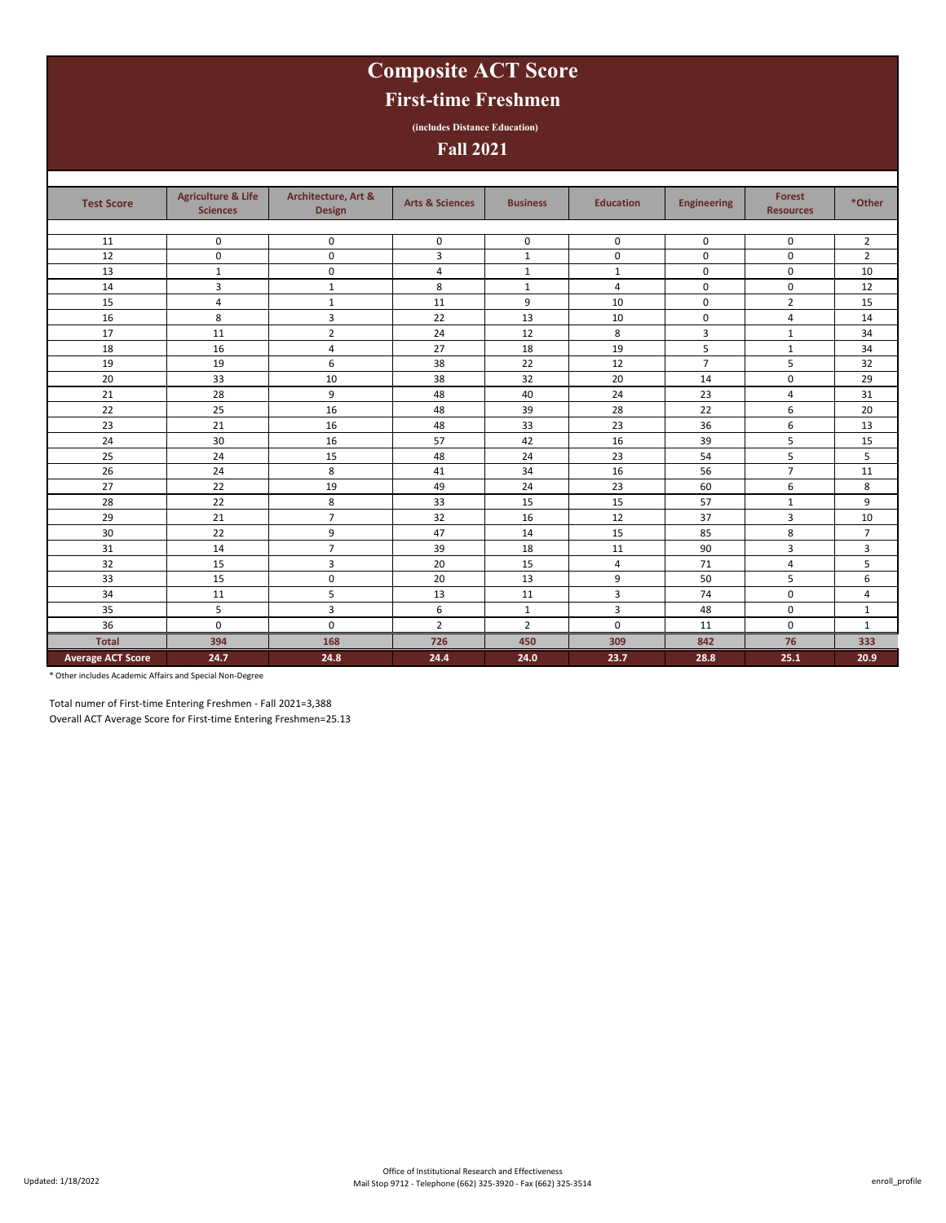# **Composite ACT Score**

### **First-time Freshmen**

**(includes Distance Education)**

**Fall 2021**

| <b>Test Score</b>        | <b>Agriculture &amp; Life</b><br><b>Sciences</b> | Architecture, Art &<br><b>Design</b> | <b>Arts &amp; Sciences</b> | <b>Business</b> | <b>Education</b> | <b>Engineering</b> | <b>Forest</b><br><b>Resources</b> | *Other         |
|--------------------------|--------------------------------------------------|--------------------------------------|----------------------------|-----------------|------------------|--------------------|-----------------------------------|----------------|
|                          |                                                  |                                      |                            |                 |                  |                    |                                   |                |
| 11                       | 0                                                | $\mathbf 0$                          | 0                          | 0               | 0                | 0                  | $\mathbf 0$                       | $\overline{2}$ |
| 12                       | 0                                                | 0                                    | 3                          | $\mathbf{1}$    | $\mathbf 0$      | $\mathbf 0$        | $\mathbf 0$                       | $\overline{2}$ |
| 13                       | $\mathbf{1}$                                     | 0                                    | $\overline{4}$             | $1\,$           | $\mathbf{1}$     | $\mathbf 0$        | 0                                 | 10             |
| 14                       | 3                                                | $\mathbf{1}$                         | 8                          | $\mathbf{1}$    | 4                | 0                  | 0                                 | 12             |
| 15                       | $\overline{4}$                                   | $\mathbf{1}$                         | 11                         | 9               | 10               | $\mathbf 0$        | $\overline{2}$                    | 15             |
| 16                       | 8                                                | 3                                    | 22                         | 13              | 10               | $\mathbf 0$        | 4                                 | 14             |
| 17                       | 11                                               | $\overline{2}$                       | 24                         | 12              | 8                | 3                  | 1                                 | 34             |
| 18                       | 16                                               | 4                                    | 27                         | 18              | 19               | 5                  | $\mathbf{1}$                      | 34             |
| 19                       | 19                                               | 6                                    | 38                         | 22              | 12               | $\overline{7}$     | 5                                 | 32             |
| 20                       | 33                                               | 10                                   | 38                         | 32              | 20               | 14                 | $\mathbf 0$                       | 29             |
| 21                       | 28                                               | 9                                    | 48                         | 40              | 24               | 23                 | 4                                 | 31             |
| 22                       | 25                                               | 16                                   | 48                         | 39              | 28               | 22                 | 6                                 | 20             |
| 23                       | 21                                               | 16                                   | 48                         | 33              | 23               | 36                 | 6                                 | 13             |
| 24                       | 30                                               | 16                                   | 57                         | 42              | 16               | 39                 | 5                                 | 15             |
| 25                       | 24                                               | 15                                   | 48                         | 24              | 23               | 54                 | 5                                 | 5              |
| 26                       | 24                                               | 8                                    | 41                         | 34              | 16               | 56                 | $\overline{7}$                    | 11             |
| 27                       | 22                                               | 19                                   | 49                         | 24              | 23               | 60                 | 6                                 | 8              |
| 28                       | 22                                               | 8                                    | 33                         | 15              | 15               | 57                 | 1                                 | 9              |
| 29                       | 21                                               | $\overline{7}$                       | 32                         | 16              | 12               | 37                 | 3                                 | 10             |
| 30                       | 22                                               | 9                                    | 47                         | 14              | 15               | 85                 | 8                                 | $\overline{7}$ |
| 31                       | 14                                               | $\overline{7}$                       | 39                         | 18              | 11               | 90                 | 3                                 | 3              |
| 32                       | 15                                               | 3                                    | 20                         | 15              | 4                | 71                 | 4                                 | 5              |
| 33                       | 15                                               | 0                                    | 20                         | 13              | 9                | 50                 | 5                                 | 6              |
| 34                       | 11                                               | 5                                    | 13                         | 11              | 3                | 74                 | 0                                 | 4              |
| 35                       | 5                                                | 3                                    | 6                          | $\mathbf{1}$    | 3                | 48                 | 0                                 | $\mathbf{1}$   |
| 36                       | 0                                                | 0                                    | $\overline{2}$             | $\overline{2}$  | $\mathbf 0$      | 11                 | 0                                 | 1              |
| <b>Total</b>             | 394                                              | 168                                  | 726                        | 450             | 309              | 842                | 76                                | 333            |
| <b>Average ACT Score</b> | 24.7                                             | 24.8                                 | 24.4                       | 24.0            | 23.7             | 28.8               | 25.1                              | 20.9           |

\* Other includes Academic Affairs and Special Non-Degree

Total numer of First-time Entering Freshmen - Fall 2021=3,388 Overall ACT Average Score for First-time Entering Freshmen=25.13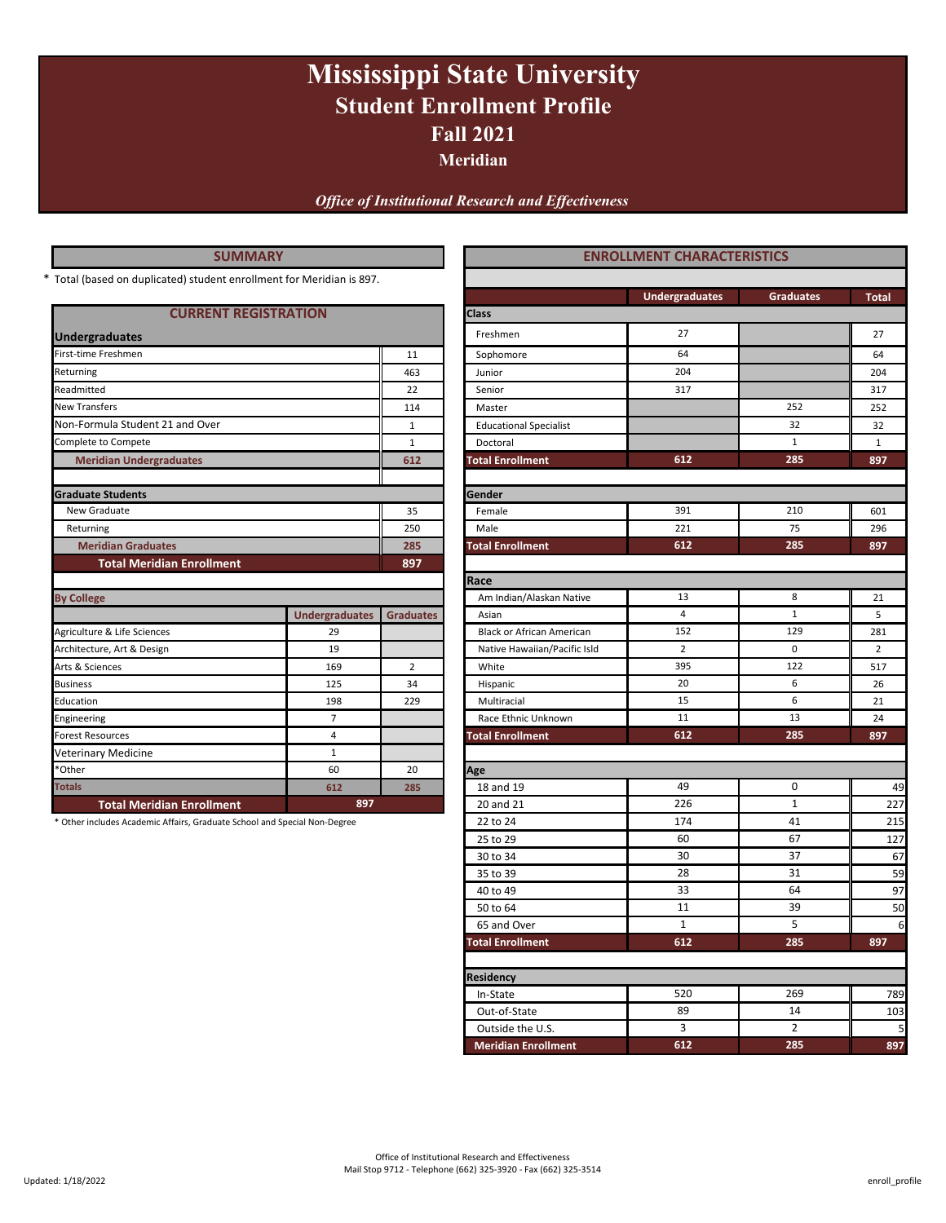# **Fall 2021 Mississippi State University Student Enrollment Profile**

**Meridian**

*Office of Institutional Research and Effectiveness*

| <b>SUMMARY</b>                                                            |                       | <b>ENROLLMENT CHARACTERISTICS</b> |                                  |                       |                  |                |
|---------------------------------------------------------------------------|-----------------------|-----------------------------------|----------------------------------|-----------------------|------------------|----------------|
| * Total (based on duplicated) student enrollment for Meridian is 897.     |                       |                                   |                                  |                       |                  |                |
|                                                                           |                       |                                   |                                  | <b>Undergraduates</b> | <b>Graduates</b> | Total          |
| <b>CURRENT REGISTRATION</b>                                               |                       |                                   | Class                            |                       |                  |                |
| <b>Undergraduates</b>                                                     |                       |                                   | Freshmen                         | 27                    |                  | 27             |
| First-time Freshmen                                                       |                       | 11                                | Sophomore                        | 64                    |                  | 64             |
| Returning                                                                 |                       | 463                               | Junior                           | 204                   |                  | 204            |
| Readmitted                                                                |                       | 22                                | Senior                           | 317                   |                  | 317            |
| <b>New Transfers</b>                                                      |                       | 114                               | Master                           |                       | 252              | 252            |
| Non-Formula Student 21 and Over                                           |                       | 1                                 | <b>Educational Specialist</b>    |                       | 32               | 32             |
| Complete to Compete                                                       |                       | $\mathbf{1}$                      | Doctoral                         |                       | $\mathbf{1}$     | $\mathbf{1}$   |
| <b>Meridian Undergraduates</b>                                            |                       | 612                               | <b>Total Enrollment</b>          | 612                   | 285              | 897            |
| <b>Graduate Students</b>                                                  |                       |                                   | Gender                           |                       |                  |                |
| New Graduate                                                              |                       | 35                                | Female                           | 391                   | 210              | 601            |
| Returning                                                                 |                       | 250                               | Male                             | 221                   | 75               | 296            |
| <b>Meridian Graduates</b>                                                 |                       | 285                               | <b>Total Enrollment</b>          | 612                   | 285              | 897            |
| <b>Total Meridian Enrollment</b>                                          |                       | 897                               |                                  |                       |                  |                |
|                                                                           |                       |                                   | Race                             |                       |                  |                |
| <b>By College</b>                                                         |                       |                                   | Am Indian/Alaskan Native         | 13                    | 8                | 21             |
|                                                                           | <b>Undergraduates</b> | <b>Graduates</b>                  | Asian                            | $\overline{4}$        | $\mathbf{1}$     | 5              |
| Agriculture & Life Sciences                                               | 29                    |                                   | <b>Black or African American</b> | 152                   | 129              | 281            |
| Architecture, Art & Design                                                | 19                    |                                   | Native Hawaiian/Pacific Isld     | $\overline{2}$        | $\mathbf 0$      | $\overline{2}$ |
| Arts & Sciences                                                           | 169                   | $\overline{2}$                    | White                            | 395                   | 122              | 517            |
| <b>Business</b>                                                           | 125                   | 34                                | Hispanic                         | 20                    | 6                | 26             |
| Education                                                                 | 198                   | 229                               | Multiracial                      | 15                    | 6                | 21             |
| Engineering                                                               | $\overline{7}$        |                                   | Race Ethnic Unknown              | 11                    | 13               | 24             |
| Forest Resources                                                          | $\overline{4}$        |                                   | <b>Total Enrollment</b>          | 612                   | 285              | 897            |
| <b>Veterinary Medicine</b>                                                | $\mathbf{1}$          |                                   |                                  |                       |                  |                |
| *Other                                                                    | 60                    | 20                                | Age                              |                       |                  |                |
| <b>Totals</b>                                                             | 612                   | 285                               | 18 and 19                        | 49                    | 0                | 49             |
| <b>Total Meridian Enrollment</b>                                          | 897                   |                                   | 20 and 21                        | 226                   | $\mathbf{1}$     | 227            |
| * Other includes Academic Affairs, Graduate School and Special Non-Degree |                       |                                   | 22 to 24                         | 174                   | 41               | 215            |
|                                                                           |                       |                                   | 25 to 29                         | 60                    | 67               | 127            |
|                                                                           |                       |                                   | 30 to 34                         | 30                    | 37               | 67             |

**Residency**

35 to 39 28 31 59 40 to 49 33 64 97 50 to 64 50 to 64 50 65 and Over 1 1 5 6 **Total Enrollment 897**

28

5 39 64

31

**285**

14 2

**612 285**

In-State 19 | 520 | 269 | 789 Out-of-State 103 Outside the U.S. 2 3 3 2  **Meridian Enrollment 897**

520 269

1 11 33

**612**

89

3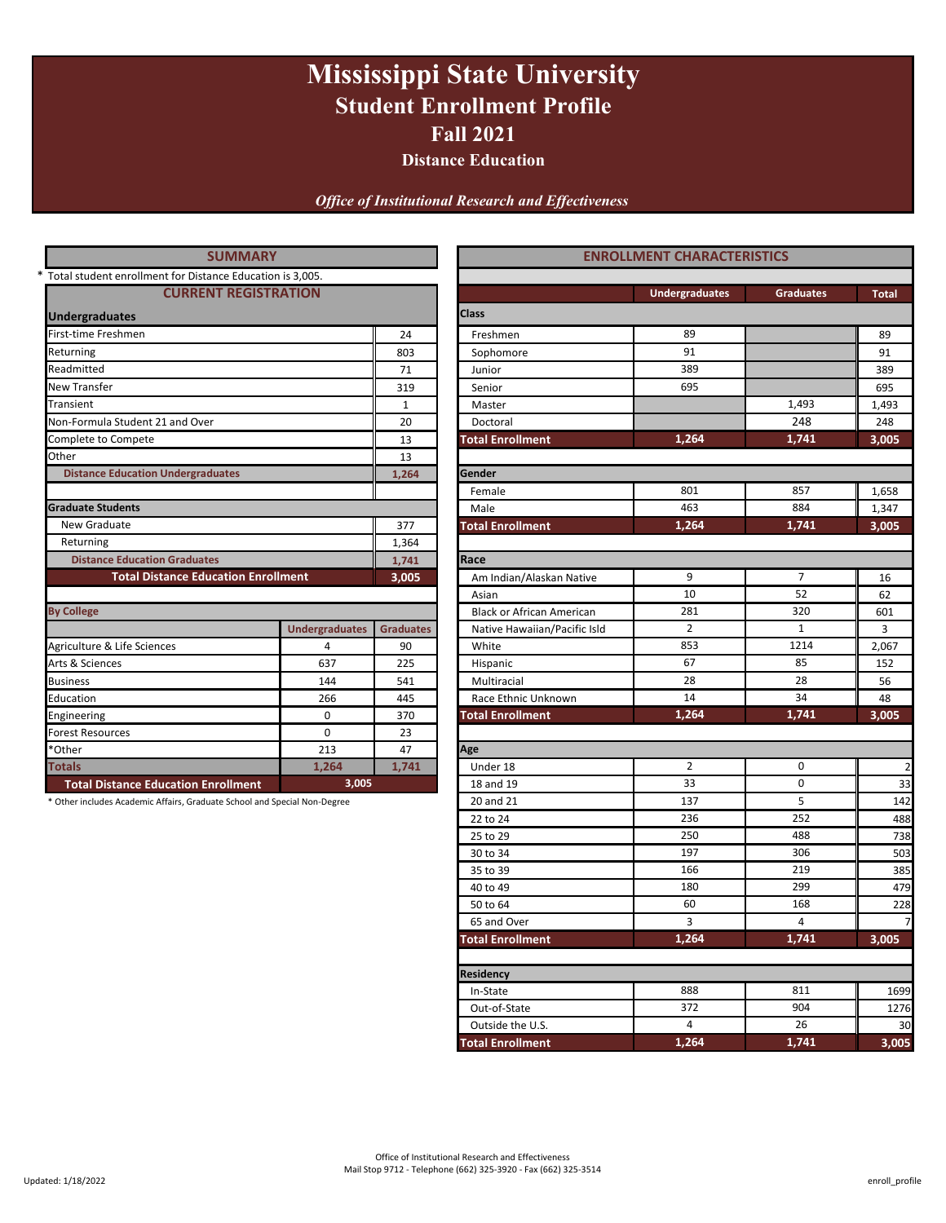# **Mississippi State University Student Enrollment Profile Fall 2021**

**Distance Education**

*Office of Institutional Research and Effectiveness*

| <b>SUMMARY</b>                                                            | <b>ENROLLMENT CHARACTERISTICS</b> |                  |                                  |                       |                  |              |  |
|---------------------------------------------------------------------------|-----------------------------------|------------------|----------------------------------|-----------------------|------------------|--------------|--|
| * Total student enrollment for Distance Education is 3,005.               |                                   |                  |                                  |                       |                  |              |  |
| <b>CURRENT REGISTRATION</b>                                               |                                   |                  |                                  | <b>Undergraduates</b> | <b>Graduates</b> | <b>Total</b> |  |
| <b>Undergraduates</b>                                                     |                                   |                  | <b>Class</b>                     |                       |                  |              |  |
| First-time Freshmen                                                       |                                   | 24               | Freshmen                         | 89                    |                  | 89           |  |
| Returning                                                                 |                                   | 803              | Sophomore                        | 91                    |                  | 91           |  |
| Readmitted                                                                |                                   | 71               | Junior                           | 389                   |                  | 389          |  |
| <b>New Transfer</b>                                                       |                                   | 319              | Senior                           |                       | 695              |              |  |
| Transient                                                                 |                                   | $\mathbf{1}$     | Master                           |                       | 1,493            | 1,493        |  |
| Non-Formula Student 21 and Over                                           |                                   | 20               | Doctoral                         |                       | 248              | 248          |  |
| Complete to Compete                                                       |                                   | 13               | <b>Total Enrollment</b>          | 1,264<br>1,741        |                  |              |  |
| Other                                                                     |                                   | 13               |                                  |                       |                  |              |  |
| <b>Distance Education Undergraduates</b>                                  |                                   | 1,264            | Gender                           |                       |                  |              |  |
|                                                                           |                                   |                  | Female                           | 801                   | 857              | 1,658        |  |
| <b>Graduate Students</b>                                                  |                                   |                  | Male                             | 463                   | 884              | 1,347        |  |
| New Graduate                                                              |                                   | 377              | <b>Total Enrollment</b>          | 1,264                 | 1,741            | 3,005        |  |
| Returning                                                                 | 1,364                             |                  |                                  |                       |                  |              |  |
| <b>Distance Education Graduates</b>                                       |                                   | 1,741            | Race                             |                       |                  |              |  |
| <b>Total Distance Education Enrollment</b>                                |                                   | 3,005            | Am Indian/Alaskan Native         | 9                     | $\overline{7}$   | 16           |  |
|                                                                           |                                   |                  | Asian                            | 10                    | 52               | 62           |  |
| <b>By College</b>                                                         |                                   |                  | <b>Black or African American</b> | 281                   | 320              | 601          |  |
|                                                                           | <b>Undergraduates</b>             | <b>Graduates</b> | Native Hawaiian/Pacific Isld     | $\overline{2}$        | 1                | 3            |  |
| Agriculture & Life Sciences                                               | 4                                 | 90               | White                            | 853                   | 1214             | 2,067        |  |
| Arts & Sciences                                                           | 637                               | 225              | Hispanic                         | 67                    | 85               | 152          |  |
| <b>Business</b>                                                           | 144                               | 541              | Multiracial                      | 28                    | 28               | 56           |  |
| Education                                                                 | 266                               | 445              | Race Ethnic Unknown              | 14                    | 34               | 48           |  |
| Engineering                                                               | 0                                 | 370              | <b>Total Enrollment</b>          | 1,264                 | 1,741            | 3,005        |  |
| <b>Forest Resources</b>                                                   | $\Omega$                          | 23               |                                  |                       |                  |              |  |
| *Other                                                                    | 213                               | 47               | Age                              |                       |                  |              |  |
| <b>Totals</b>                                                             | 1,264                             | 1,741            | Under 18                         | $\overline{2}$        | $\mathbf 0$      |              |  |
| <b>Total Distance Education Enrollment</b>                                | 3,005                             |                  | 18 and 19                        | 33                    | $\mathbf 0$      | 33           |  |
| * Other includes Academic Affairs, Graduate School and Special Non-Degree |                                   |                  | 20 and 21                        | 137                   | 5                | 142          |  |
|                                                                           |                                   |                  | 22 to 24                         | 236                   | 252              | 488          |  |

**Residency**

25 to 29 **1 250** 250 **488 251 250** 30 to 34 **503 197 197** 306 **1** 503 35 to 39 **166** 219 assets and the set of the set of the set of the set of the set of the set of the set of the s 40 to 49 **180** 180 299 **1910** 180 50 to 64 **228** 

180

**Total Enrollment 3,005**

 $\ln$ -State 1699 | 888 | 811 | 1699 Out-of-State 1276 Outside the U.S. 26 000 130 **Total Enrollment 3,005**

372

4 26

888 811

166 219

3 4

60 168

250 488 197 306

**1,264 1,741**

**1,264 1,741**

299

65 and Over 2012 12:00:00 12:00:00 12:00:00 12:00:00 12:00:00 12:00:00 12:00:00 12:00:00 12:00:00 12:00:00 12:00:00 12:00:00 12:00:00 12:00:00 12:00:00 12:00:00 12:00:00 12:00:00 12:00:00 12:00:00 12:00:00 12:00:00 12:00:0